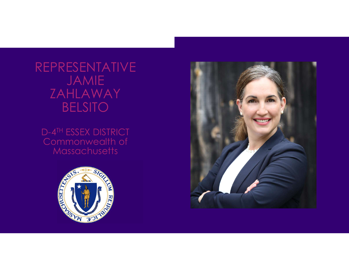REPRESENTATIVE JAMIE ZAHLAWAY BELSITO

D-4TH ESSEX DISTRICT Commonwealth of **Massachusetts** 



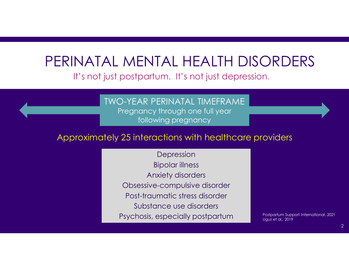# PERINATAL MENTAL HEALTH DISORDERS

#### It's not just postpartum. It's not just depression.

#### TWO-YEAR PERINATAL TIMEFRAME

Pregnancy through one full year following pregnancy

#### Approximately 25 interactions with healthcare providers

Depression Bipolar illness Anxiety disorders Obsessive-compulsive disorder Post-traumatic stress disorder Substance use disorders Psychosis, especially postpartum

Postpartum Support International, 2021 Uguz et al., 2019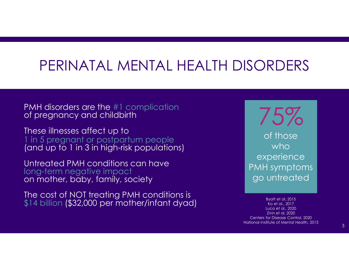### PERINATAL MENTAL HEALTH DISORDERS

PMH disorders are the #1 complication of pregnancy and childbirth

These illnesses affect up to 1 in 5 pregnant or postpartum people (and up to 1 in 3 in high-risk populations)

Untreated PMH conditions can have<br>long-term negative impact on mother, baby, family, society

The cost of NOT treating PMH conditions is  $$14$  billion (\$32,000 per mother/infant dyad) Byatt et al, 2015

75% of those who experience PMH symptoms go untreated

Ko et al., 2017 Luca et al., 2020 Zivin et al, 2020 Centers for Disease Control, 2020 National Institute of Mental Health, 2013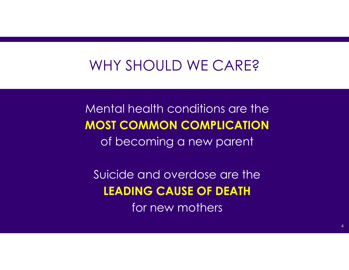### WHY SHOULD WE CARE?

Mental health conditions are the MOST COMMON COMPLICATION of becoming a new parent

Suicide and overdose are the LEADING CAUSE OF DEATH for new mothers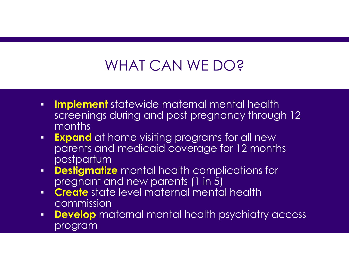## WHAT CAN WE DO?

- **Implement** statewide maternal mental health screenings during and post pregnancy through 12 months
- **Expand** at home visiting programs for all new parents and medicaid coverage for 12 months postpartum
- **Destigmatize** mental health complications for pregnant and new parents (1 in 5)
- **Create** state level maternal mental health commission
- **Develop** maternal mental health psychiatry access program